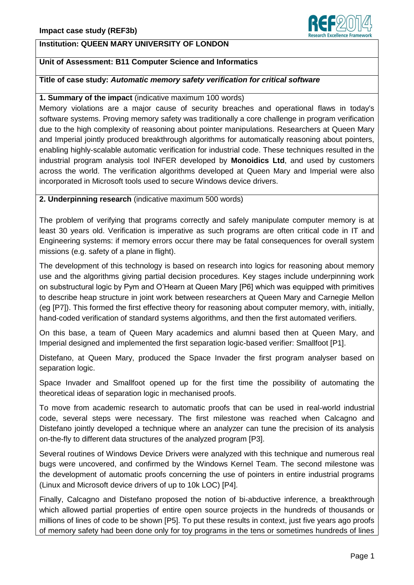

# **Unit of Assessment: B11 Computer Science and Informatics**

# **Title of case study:** *Automatic memory safety verification for critical software*

### **1. Summary of the impact** (indicative maximum 100 words)

Memory violations are a major cause of security breaches and operational flaws in today's software systems. Proving memory safety was traditionally a core challenge in program verification due to the high complexity of reasoning about pointer manipulations. Researchers at Queen Mary and Imperial jointly produced breakthrough algorithms for automatically reasoning about pointers, enabling highly-scalable automatic verification for industrial code. These techniques resulted in the industrial program analysis tool INFER developed by **Monoidics Ltd**, and used by customers across the world. The verification algorithms developed at Queen Mary and Imperial were also incorporated in Microsoft tools used to secure Windows device drivers.

### **2. Underpinning research** (indicative maximum 500 words)

The problem of verifying that programs correctly and safely manipulate computer memory is at least 30 years old. Verification is imperative as such programs are often critical code in IT and Engineering systems: if memory errors occur there may be fatal consequences for overall system missions (e.g. safety of a plane in flight).

The development of this technology is based on research into logics for reasoning about memory use and the algorithms giving partial decision procedures. Key stages include underpinning work on substructural logic by Pym and O'Hearn at Queen Mary [P6] which was equipped with primitives to describe heap structure in joint work between researchers at Queen Mary and Carnegie Mellon (eg [P7]). This formed the first effective theory for reasoning about computer memory, with, initially, hand-coded verification of standard systems algorithms, and then the first automated verifiers.

On this base, a team of Queen Mary academics and alumni based then at Queen Mary, and Imperial designed and implemented the first separation logic-based verifier: Smallfoot [P1].

Distefano, at Queen Mary, produced the Space Invader the first program analyser based on separation logic.

Space Invader and Smallfoot opened up for the first time the possibility of automating the theoretical ideas of separation logic in mechanised proofs.

To move from academic research to automatic proofs that can be used in real-world industrial code, several steps were necessary. The first milestone was reached when Calcagno and Distefano jointly developed a technique where an analyzer can tune the precision of its analysis on-the-fly to different data structures of the analyzed program [P3].

Several routines of Windows Device Drivers were analyzed with this technique and numerous real bugs were uncovered, and confirmed by the Windows Kernel Team. The second milestone was the development of automatic proofs concerning the use of pointers in entire industrial programs (Linux and Microsoft device drivers of up to 10k LOC) [P4].

Finally, Calcagno and Distefano proposed the notion of bi-abductive inference, a breakthrough which allowed partial properties of entire open source projects in the hundreds of thousands or millions of lines of code to be shown [P5]. To put these results in context, just five years ago proofs of memory safety had been done only for toy programs in the tens or sometimes hundreds of lines

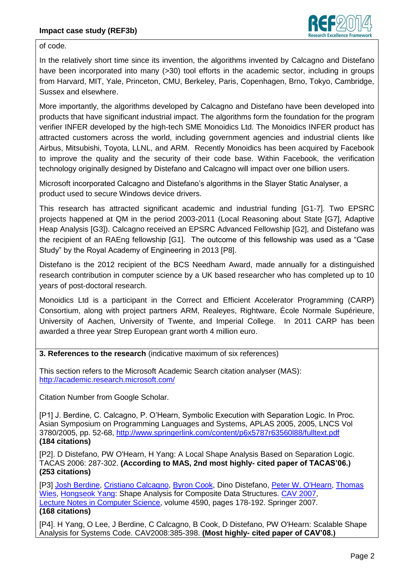

of code.

In the relatively short time since its invention, the algorithms invented by Calcagno and Distefano have been incorporated into many (>30) tool efforts in the academic sector, including in groups from Harvard, MIT, Yale, Princeton, CMU, Berkeley, Paris, Copenhagen, Brno, Tokyo, Cambridge, Sussex and elsewhere.

More importantly, the algorithms developed by Calcagno and Distefano have been developed into products that have significant industrial impact. The algorithms form the foundation for the program verifier INFER developed by the high-tech SME Monoidics Ltd. The Monoidics INFER product has attracted customers across the world, including government agencies and industrial clients like Airbus, Mitsubishi, Toyota, LLNL, and ARM. Recently Monoidics has been acquired by Facebook to improve the quality and the security of their code base. Within Facebook, the verification technology originally designed by Distefano and Calcagno will impact over one billion users.

Microsoft incorporated Calcagno and Distefano's algorithms in the Slayer Static Analyser, a product used to secure Windows device drivers.

This research has attracted significant academic and industrial funding [G1-7]. Two EPSRC projects happened at QM in the period 2003-2011 (Local Reasoning about State [G7], Adaptive Heap Analysis [G3]). Calcagno received an EPSRC Advanced Fellowship [G2], and Distefano was the recipient of an RAEng fellowship [G1]. The outcome of this fellowship was used as a "Case Study" by the Royal Academy of Engineering in 2013 [P8].

Distefano is the 2012 recipient of the BCS Needham Award, made annually for a distinguished research contribution in computer science by a UK based researcher who has completed up to 10 years of post-doctoral research.

Monoidics Ltd is a participant in the Correct and Efficient Accelerator Programming (CARP) Consortium, along with project partners ARM, Realeyes, Rightware, École Normale Supérieure, University of Aachen, University of Twente, and Imperial College. In 2011 CARP has been awarded a three year Strep European grant worth 4 million euro.

**3. References to the research** (indicative maximum of six references)

This section refers to the Microsoft Academic Search citation analyser (MAS): <http://academic.research.microsoft.com/>

Citation Number from Google Scholar.

[P1] J. Berdine, C. Calcagno, P. O'Hearn, Symbolic Execution with Separation Logic. In Proc. Asian Symposium on Programming Languages and Systems, APLAS 2005, 2005, LNCS Vol 3780/2005, pp. 52-68,<http://www.springerlink.com/content/p6x5787r63560l88/fulltext.pdf> **(184 citations)**

[P2]. D Distefano, PW O'Hearn, H Yang: A Local Shape Analysis Based on Separation Logic. TACAS 2006: 287-302. **(According to MAS, 2nd most highly- cited paper of TACAS'06.) (253 citations)**

[P3] [Josh Berdine,](http://www.informatik.uni-trier.de/~ley/db/indices/a-tree/b/Berdine:Josh.html) [Cristiano Calcagno,](http://www.informatik.uni-trier.de/~ley/db/indices/a-tree/c/Calcagno:Cristiano.html) [Byron Cook,](http://www.informatik.uni-trier.de/~ley/db/indices/a-tree/c/Cook:Byron.html) Dino Distefano, [Peter W. O'Hearn,](http://www.informatik.uni-trier.de/~ley/db/indices/a-tree/o/O=Hearn:Peter_W=.html) [Thomas](http://www.informatik.uni-trier.de/~ley/db/indices/a-tree/w/Wies:Thomas.html)  [Wies,](http://www.informatik.uni-trier.de/~ley/db/indices/a-tree/w/Wies:Thomas.html) [Hongseok Yang:](http://www.informatik.uni-trier.de/~ley/db/indices/a-tree/y/Yang:Hongseok.html) Shape Analysis for Composite Data Structures. [CAV 2007,](http://www.informatik.uni-trier.de/~ley/db/conf/cav/cav2007.html#BerdineCCDOWY07) [Lecture Notes in Computer Science,](http://www.informatik.uni-trier.de/~ley/db/journals/lncs.html) volume 4590, pages 178-192. Springer 2007. **(168 citations)**

[P4]. H Yang, O Lee, J Berdine, C Calcagno, B Cook, D Distefano, PW O'Hearn: Scalable Shape Analysis for Systems Code. CAV2008:385-398. **(Most highly- cited paper of CAV'08.)**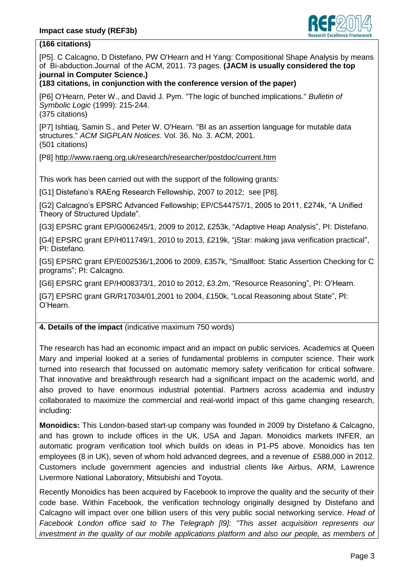

# **(166 citations)**

[P5]. C Calcagno, D Distefano, PW O'Hearn and H Yang: Compositional Shape Analysis by means of Bi-abduction.Journal of the ACM, 2011. 73 pages. **(JACM is usually considered the top journal in Computer Science.)**

# **(183 citations, in conjunction with the conference version of the paper)**

[P6] O'Hearn, Peter W., and David J. Pym. "The logic of bunched implications." *Bulletin of Symbolic Logic* (1999): 215-244. (375 citations)

[P7] Ishtiaq, Samin S., and Peter W. O'Hearn. "BI as an assertion language for mutable data structures." *ACM SIGPLAN Notices*. Vol. 36. No. 3. ACM, 2001. (501 citations)

[P8]<http://www.raeng.org.uk/research/researcher/postdoc/current.htm>

This work has been carried out with the support of the following grants:

[G1] Distefano's RAEng Research Fellowship, 2007 to 2012; see [P8].

[G2] Calcagno's EPSRC Advanced Fellowship; EP/C544757/1, 2005 to 2011, £274k, "A Unified Theory of Structured Update".

[G3] EPSRC grant EP/G006245/1, 2009 to 2012, £253k, "Adaptive Heap Analysis", PI: Distefano.

[G4] EPSRC grant EP/H011749/1, 2010 to 2013, £219k, "jStar: making java verification practical", PI: Distefano.

[G5] EPSRC grant EP/E002536/1,2006 to 2009, £357k, "Smallfoot: Static Assertion Checking for C programs"; PI: Calcagno.

[G6] EPSRC grant EP/H008373/1, 2010 to 2012, £3.2m, "Resource Reasoning", PI: O'Hearn.

[G7] EPSRC grant GR/R17034/01,2001 to 2004, £150k, "Local Reasoning about State", PI: O'Hearn.

# **4. Details of the impact** (indicative maximum 750 words)

The research has had an economic impact and an impact on public services. Academics at Queen Mary and imperial looked at a series of fundamental problems in computer science. Their work turned into research that focussed on automatic memory safety verification for critical software. That innovative and breakthrough research had a significant impact on the academic world, and also proved to have enormous industrial potential. Partners across academia and industry collaborated to maximize the commercial and real-world impact of this game changing research, including:

**Monoidics:** This London-based start-up company was founded in 2009 by Distefano & Calcagno, and has grown to include offices in the UK, USA and Japan. Monoidics markets INFER, an automatic program verification tool which builds on ideas in P1-P5 above. Monoidics has ten employees (8 in UK), seven of whom hold advanced degrees, and a revenue of £588,000 in 2012. Customers include government agencies and industrial clients like Airbus, ARM, Lawrence Livermore National Laboratory, Mitsubishi and Toyota.

Recently Monoidics has been acquired by Facebook to improve the quality and the security of their code base. Within Facebook, the verification technology originally designed by Distefano and Calcagno will impact over one billion users of this very public social networking service. *Head of Facebook London office said to The Telegraph [l9]: "This asset acquisition represents our investment in the quality of our mobile applications platform and also our people, as members of*